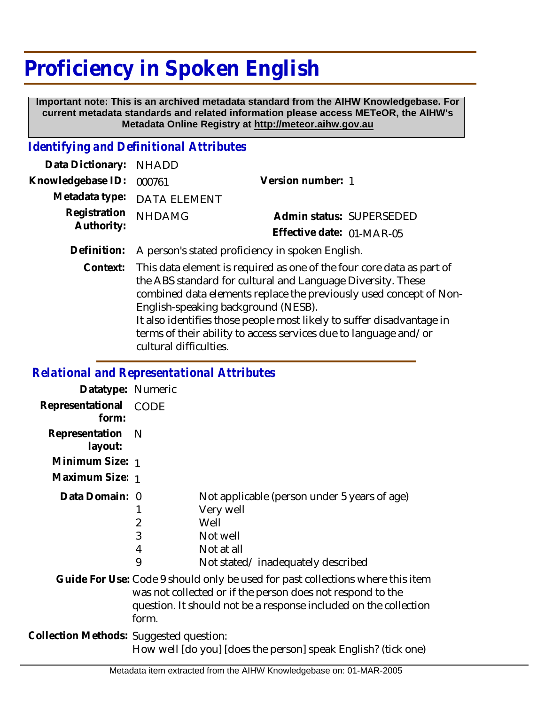## **Proficiency in Spoken English**

 **Important note: This is an archived metadata standard from the AIHW Knowledgebase. For current metadata standards and related information please access METeOR, the AIHW's Metadata Online Registry at http://meteor.aihw.gov.au**

## *Identifying and Definitional Attributes*

| Data Dictionary: NHADD            |                                                              |                           |  |
|-----------------------------------|--------------------------------------------------------------|---------------------------|--|
| Knowledgebase ID: 000761          |                                                              | Version number: 1         |  |
|                                   | Metadata type: DATA ELEMENT                                  |                           |  |
| Registration NHDAMG<br>Authority: |                                                              | Admin status: SUPERSEDED  |  |
|                                   |                                                              | Effective date: 01-MAR-05 |  |
|                                   | Definition: A person's stated proficiency in spoken English. |                           |  |

Context: This data element is required as one of the four core data as part of the ABS standard for cultural and Language Diversity. These combined data elements replace the previously used concept of Non-English-speaking background (NESB). It also identifies those people most likely to suffer disadvantage in terms of their ability to access services due to language and/or cultural difficulties.

## *Relational and Representational Attributes*

| Datatype: Numeric                       |                                                               |                                                                                                                                                                                                                  |
|-----------------------------------------|---------------------------------------------------------------|------------------------------------------------------------------------------------------------------------------------------------------------------------------------------------------------------------------|
| Representational CODE<br>form:          |                                                               |                                                                                                                                                                                                                  |
| Representation<br>layout:               | <sup>N</sup>                                                  |                                                                                                                                                                                                                  |
| Minimum Size: 1                         |                                                               |                                                                                                                                                                                                                  |
| Maximum Size: 1                         |                                                               |                                                                                                                                                                                                                  |
| Data Domain: 0                          | 2<br>3<br>4<br>9                                              | Not applicable (person under 5 years of age)<br>Very well<br>Well<br>Not well<br>Not at all<br>Not stated/inadequately described                                                                                 |
|                                         | form.                                                         | Guide For Use: Code 9 should only be used for past collections where this item<br>was not collected or if the person does not respond to the<br>question. It should not be a response included on the collection |
| Collection Methods: Suggested question: | How well [do you] [does the person] speak English? (tick one) |                                                                                                                                                                                                                  |